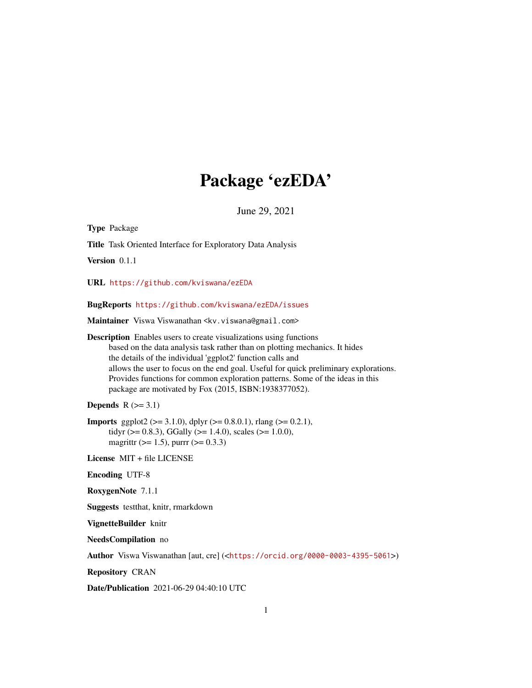# Package 'ezEDA'

June 29, 2021

Type Package Title Task Oriented Interface for Exploratory Data Analysis Version 0.1.1 URL <https://github.com/kviswana/ezEDA> BugReports <https://github.com/kviswana/ezEDA/issues> Maintainer Viswa Viswanathan <kv.viswana@gmail.com> Description Enables users to create visualizations using functions based on the data analysis task rather than on plotting mechanics. It hides the details of the individual 'ggplot2' function calls and allows the user to focus on the end goal. Useful for quick preliminary explorations. Provides functions for common exploration patterns. Some of the ideas in this package are motivated by Fox (2015, ISBN:1938377052). Depends  $R$  ( $>= 3.1$ ) **Imports** ggplot2 ( $>= 3.1.0$ ), dplyr ( $>= 0.8.0.1$ ), rlang ( $>= 0.2.1$ ), tidyr ( $> = 0.8.3$ ), GGally ( $> = 1.4.0$ ), scales ( $> = 1.0.0$ ), magrittr ( $>= 1.5$ ), purrr ( $>= 0.3.3$ ) License MIT + file LICENSE Encoding UTF-8 RoxygenNote 7.1.1 Suggests testthat, knitr, rmarkdown VignetteBuilder knitr NeedsCompilation no Author Viswa Viswanathan [aut, cre] (<<https://orcid.org/0000-0003-4395-5061>>) Repository CRAN

Date/Publication 2021-06-29 04:40:10 UTC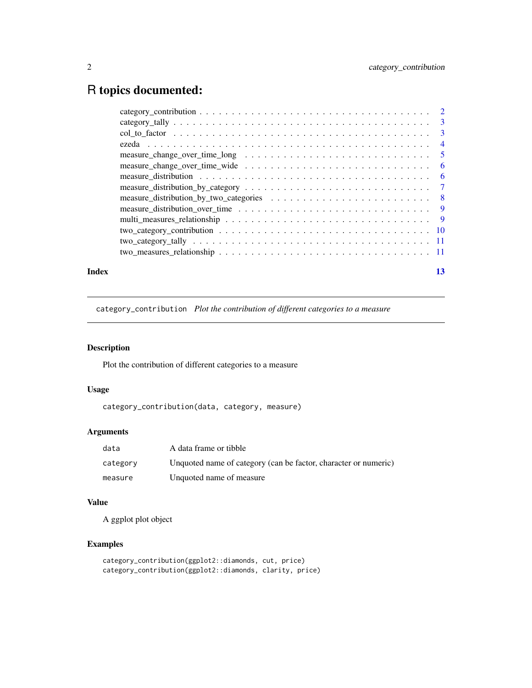## <span id="page-1-0"></span>R topics documented:

| Index | 13 |
|-------|----|

category\_contribution *Plot the contribution of different categories to a measure*

## Description

Plot the contribution of different categories to a measure

## Usage

category\_contribution(data, category, measure)

## Arguments

| data     | A data frame or tibble                                          |
|----------|-----------------------------------------------------------------|
| category | Unquoted name of category (can be factor, character or numeric) |
| measure  | Unquoted name of measure                                        |

## Value

A ggplot plot object

```
category_contribution(ggplot2::diamonds, cut, price)
category_contribution(ggplot2::diamonds, clarity, price)
```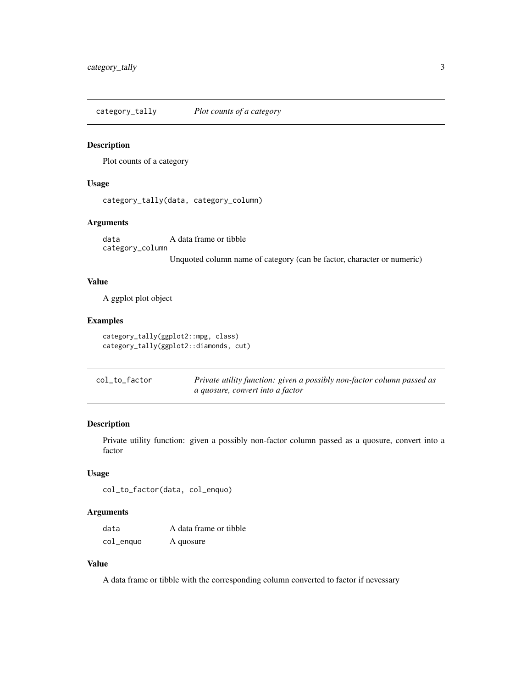<span id="page-2-0"></span>category\_tally *Plot counts of a category*

#### Description

Plot counts of a category

#### Usage

category\_tally(data, category\_column)

#### Arguments

data A data frame or tibble category\_column Unquoted column name of category (can be factor, character or numeric)

## Value

A ggplot plot object

## Examples

```
category_tally(ggplot2::mpg, class)
category_tally(ggplot2::diamonds, cut)
```

| col_to_factor | Private utility function: given a possibly non-factor column passed as |
|---------------|------------------------------------------------------------------------|
|               | a quosure, convert into a factor                                       |

#### Description

Private utility function: given a possibly non-factor column passed as a quosure, convert into a factor

## Usage

```
col_to_factor(data, col_enquo)
```
## Arguments

| data      | A data frame or tibble |
|-----------|------------------------|
| col_enquo | A quosure              |

## Value

A data frame or tibble with the corresponding column converted to factor if nevessary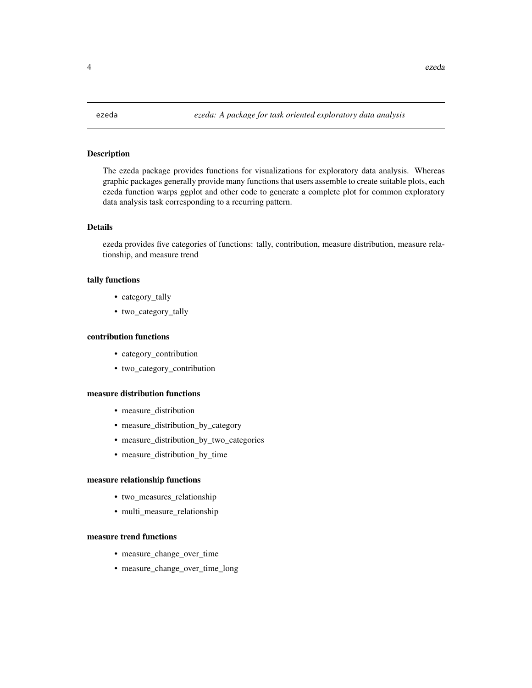<span id="page-3-0"></span>

## Description

The ezeda package provides functions for visualizations for exploratory data analysis. Whereas graphic packages generally provide many functions that users assemble to create suitable plots, each ezeda function warps ggplot and other code to generate a complete plot for common exploratory data analysis task corresponding to a recurring pattern.

#### Details

ezeda provides five categories of functions: tally, contribution, measure distribution, measure relationship, and measure trend

#### tally functions

- category\_tally
- two\_category\_tally

#### contribution functions

- category\_contribution
- two\_category\_contribution

#### measure distribution functions

- measure\_distribution
- measure\_distribution\_by\_category
- measure\_distribution\_by\_two\_categories
- measure\_distribution\_by\_time

#### measure relationship functions

- two\_measures\_relationship
- multi\_measure\_relationship

#### measure trend functions

- measure\_change\_over\_time
- measure\_change\_over\_time\_long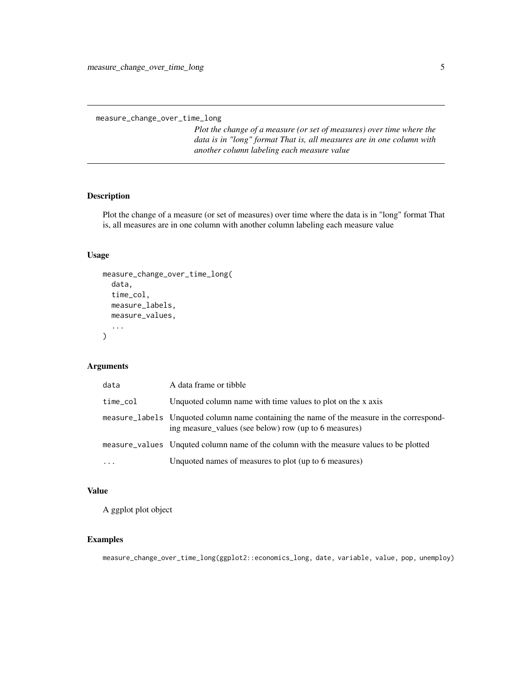<span id="page-4-0"></span>measure\_change\_over\_time\_long

*Plot the change of a measure (or set of measures) over time where the data is in "long" format That is, all measures are in one column with another column labeling each measure value*

## Description

Plot the change of a measure (or set of measures) over time where the data is in "long" format That is, all measures are in one column with another column labeling each measure value

## Usage

```
measure_change_over_time_long(
  data,
  time_col,
 measure_labels,
 measure_values,
  ...
)
```
#### Arguments

| data      | A data frame or tibble                                                                                                                             |
|-----------|----------------------------------------------------------------------------------------------------------------------------------------------------|
| time_col  | Unquoted column name with time values to plot on the x axis                                                                                        |
|           | measure_labels Unquoted column name containing the name of the measure in the correspond-<br>ing measure_values (see below) row (up to 6 measures) |
|           | measure_values Unquited column name of the column with the measure values to be plotted                                                            |
| $\ddotsc$ | Unquoted names of measures to plot (up to 6 measures)                                                                                              |

## Value

A ggplot plot object

## Examples

measure\_change\_over\_time\_long(ggplot2::economics\_long, date, variable, value, pop, unemploy)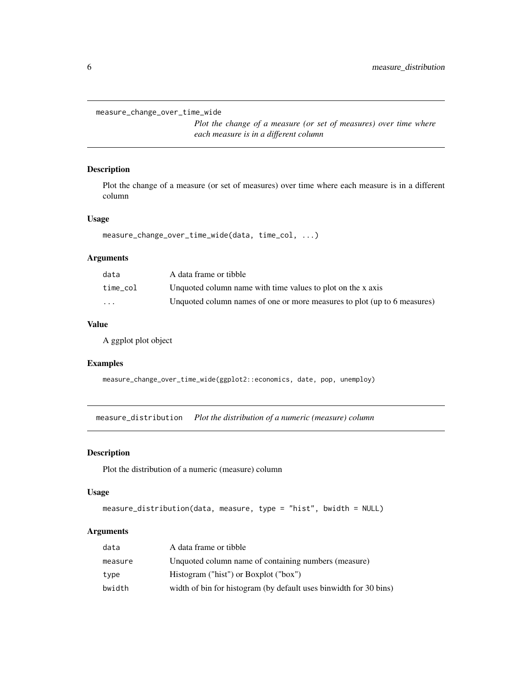<span id="page-5-0"></span>measure\_change\_over\_time\_wide

*Plot the change of a measure (or set of measures) over time where each measure is in a different column*

#### Description

Plot the change of a measure (or set of measures) over time where each measure is in a different column

#### Usage

```
measure_change_over_time_wide(data, time_col, ...)
```
## Arguments

| data                    | A data frame or tibble                                                   |
|-------------------------|--------------------------------------------------------------------------|
| time_col                | Unquoted column name with time values to plot on the x axis              |
| $\cdot$ $\cdot$ $\cdot$ | Unquoted column names of one or more measures to plot (up to 6 measures) |

#### Value

A ggplot plot object

## Examples

measure\_change\_over\_time\_wide(ggplot2::economics, date, pop, unemploy)

measure\_distribution *Plot the distribution of a numeric (measure) column*

#### Description

Plot the distribution of a numeric (measure) column

#### Usage

```
measure_distribution(data, measure, type = "hist", bwidth = NULL)
```
#### Arguments

| data    | A data frame or tibble                                            |
|---------|-------------------------------------------------------------------|
| measure | Unquoted column name of containing numbers (measure)              |
| type    | Histogram ("hist") or Boxplot ("box")                             |
| bwidth  | width of bin for histogram (by default uses binwidth for 30 bins) |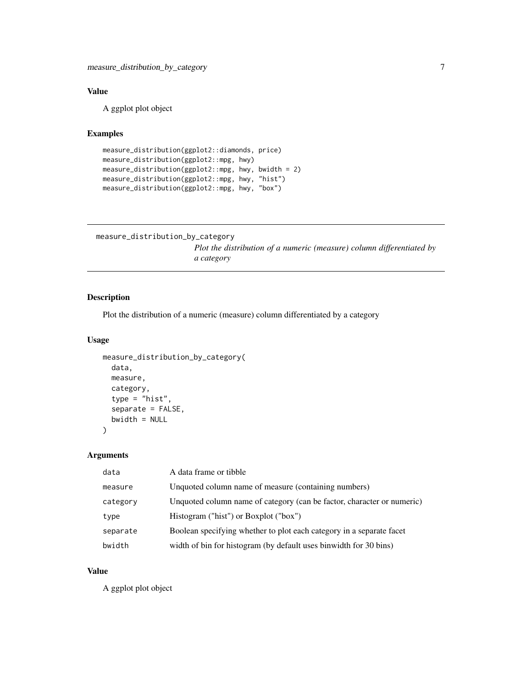## <span id="page-6-0"></span>Value

A ggplot plot object

## Examples

```
measure_distribution(ggplot2::diamonds, price)
measure_distribution(ggplot2::mpg, hwy)
measure_distribution(ggplot2::mpg, hwy, bwidth = 2)
measure_distribution(ggplot2::mpg, hwy, "hist")
measure_distribution(ggplot2::mpg, hwy, "box")
```

```
measure_distribution_by_category
```
*Plot the distribution of a numeric (measure) column differentiated by a category*

#### Description

Plot the distribution of a numeric (measure) column differentiated by a category

#### Usage

```
measure_distribution_by_category(
  data,
 measure,
 category,
  type = "hist",
  separate = FALSE,
 bwidth = NULL
)
```
Arguments

| data     | A data frame or tibble                                                 |
|----------|------------------------------------------------------------------------|
| measure  | Unquoted column name of measure (containing numbers)                   |
| category | Unquoted column name of category (can be factor, character or numeric) |
| type     | Histogram ("hist") or Boxplot ("box")                                  |
| separate | Boolean specifying whether to plot each category in a separate facet   |
| bwidth   | width of bin for histogram (by default uses binwidth for 30 bins)      |

#### Value

A ggplot plot object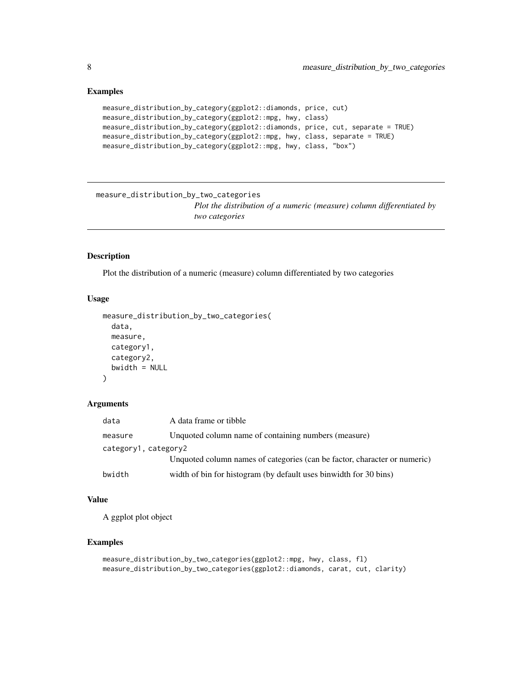## Examples

```
measure_distribution_by_category(ggplot2::diamonds, price, cut)
measure_distribution_by_category(ggplot2::mpg, hwy, class)
measure_distribution_by_category(ggplot2::diamonds, price, cut, separate = TRUE)
measure_distribution_by_category(ggplot2::mpg, hwy, class, separate = TRUE)
measure_distribution_by_category(ggplot2::mpg, hwy, class, "box")
```

```
measure_distribution_by_two_categories
```
*Plot the distribution of a numeric (measure) column differentiated by two categories*

#### Description

Plot the distribution of a numeric (measure) column differentiated by two categories

#### Usage

```
measure_distribution_by_two_categories(
  data,
  measure,
  category1,
  category2,
  bwidth = NULL
\mathcal{L}
```
#### Arguments

| data                 | A data frame or tibble                                                    |
|----------------------|---------------------------------------------------------------------------|
| measure              | Unquoted column name of containing numbers (measure)                      |
| category1, category2 |                                                                           |
|                      | Unquoted column names of categories (can be factor, character or numeric) |
| bwidth               | width of bin for histogram (by default uses binwidth for 30 bins)         |

#### Value

A ggplot plot object

```
measure_distribution_by_two_categories(ggplot2::mpg, hwy, class, fl)
measure_distribution_by_two_categories(ggplot2::diamonds, carat, cut, clarity)
```
<span id="page-7-0"></span>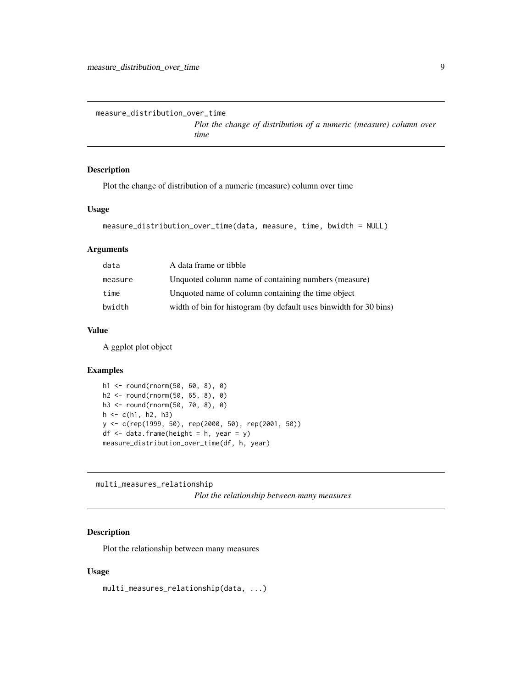<span id="page-8-0"></span>measure\_distribution\_over\_time

*Plot the change of distribution of a numeric (measure) column over time*

#### Description

Plot the change of distribution of a numeric (measure) column over time

#### Usage

```
measure_distribution_over_time(data, measure, time, bwidth = NULL)
```
## Arguments

| A data frame or tibble                                            |
|-------------------------------------------------------------------|
| Unquoted column name of containing numbers (measure)              |
| Unquoted name of column containing the time object                |
| width of bin for histogram (by default uses binwidth for 30 bins) |
|                                                                   |

## Value

A ggplot plot object

#### Examples

```
h1 <- round(rnorm(50, 60, 8), 0)
h2 <- round(rnorm(50, 65, 8), 0)
h3 <- round(rnorm(50, 70, 8), 0)
h \leq c(h1, h2, h3)y <- c(rep(1999, 50), rep(2000, 50), rep(2001, 50))
df \leq data.frame(height = h, year = y)
measure_distribution_over_time(df, h, year)
```
multi\_measures\_relationship

*Plot the relationship between many measures*

#### Description

Plot the relationship between many measures

#### Usage

multi\_measures\_relationship(data, ...)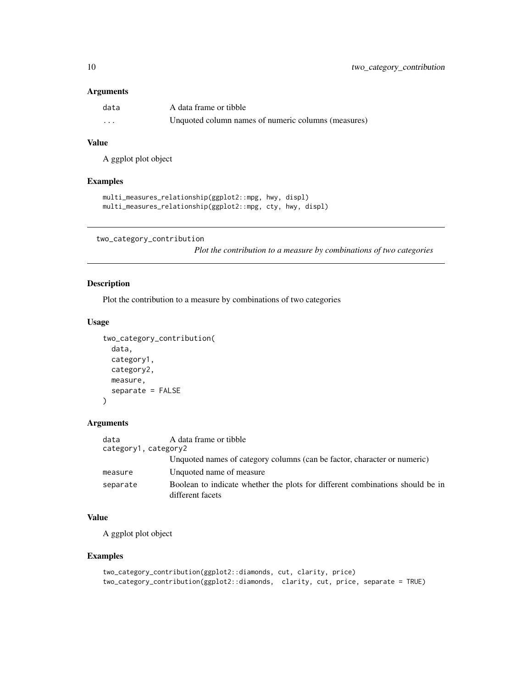#### <span id="page-9-0"></span>Arguments

| data     | A data frame or tibble                              |
|----------|-----------------------------------------------------|
| $\cdots$ | Unquoted column names of numeric columns (measures) |

#### Value

A ggplot plot object

#### Examples

```
multi_measures_relationship(ggplot2::mpg, hwy, displ)
multi_measures_relationship(ggplot2::mpg, cty, hwy, displ)
```

```
two_category_contribution
```
*Plot the contribution to a measure by combinations of two categories*

## Description

Plot the contribution to a measure by combinations of two categories

#### Usage

```
two_category_contribution(
 data,
 category1,
 category2,
 measure,
 separate = FALSE
)
```
#### Arguments

| A data frame or tibble<br>data<br>category1, category2 |                                                                                                   |
|--------------------------------------------------------|---------------------------------------------------------------------------------------------------|
|                                                        | Unquoted names of category columns (can be factor, character or numeric)                          |
| measure                                                | Unquoted name of measure                                                                          |
| separate                                               | Boolean to indicate whether the plots for different combinations should be in<br>different facets |

## Value

A ggplot plot object

```
two_category_contribution(ggplot2::diamonds, cut, clarity, price)
two_category_contribution(ggplot2::diamonds, clarity, cut, price, separate = TRUE)
```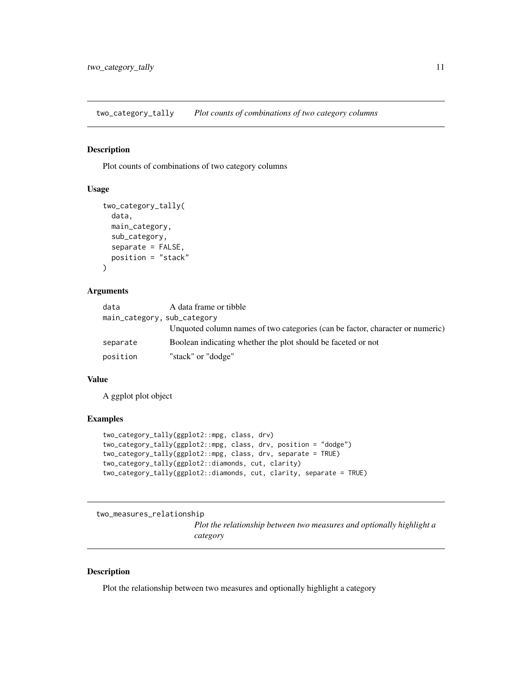<span id="page-10-0"></span>two\_category\_tally *Plot counts of combinations of two category columns*

## Description

Plot counts of combinations of two category columns

#### Usage

```
two_category_tally(
 data,
 main_category,
 sub_category,
 separate = FALSE,
 position = "stack"
)
```
## Arguments

| data     | A data frame or tibble                                                        |
|----------|-------------------------------------------------------------------------------|
|          | main_category, sub_category                                                   |
|          | Unquoted column names of two categories (can be factor, character or numeric) |
| separate | Boolean indicating whether the plot should be faceted or not                  |
| position | "stack" or "dodge"                                                            |

## Value

A ggplot plot object

#### Examples

```
two_category_tally(ggplot2::mpg, class, drv)
two_category_tally(ggplot2::mpg, class, drv, position = "dodge")
two_category_tally(ggplot2::mpg, class, drv, separate = TRUE)
two_category_tally(ggplot2::diamonds, cut, clarity)
two_category_tally(ggplot2::diamonds, cut, clarity, separate = TRUE)
```

```
two_measures_relationship
```
*Plot the relationship between two measures and optionally highlight a category*

## Description

Plot the relationship between two measures and optionally highlight a category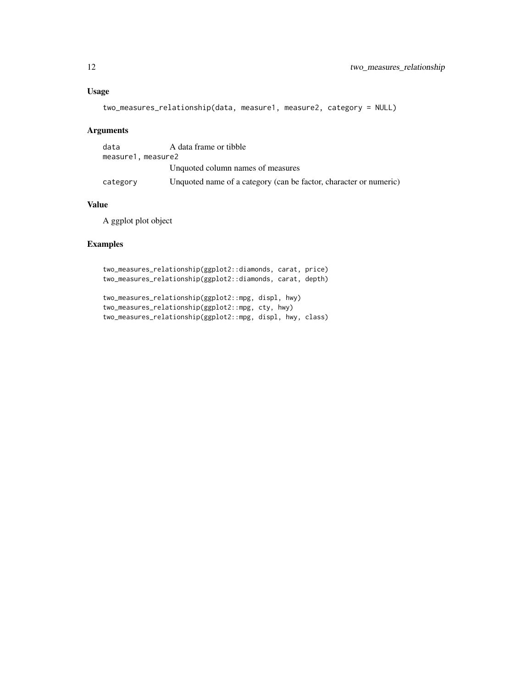## Usage

```
two_measures_relationship(data, measure1, measure2, category = NULL)
```
## Arguments

| data              | A data frame or tibble                                            |
|-------------------|-------------------------------------------------------------------|
| measure1.measure2 |                                                                   |
|                   | Unquoted column names of measures                                 |
| category          | Unquoted name of a category (can be factor, character or numeric) |

### Value

A ggplot plot object

```
two_measures_relationship(ggplot2::diamonds, carat, price)
two_measures_relationship(ggplot2::diamonds, carat, depth)
```

```
two_measures_relationship(ggplot2::mpg, displ, hwy)
two_measures_relationship(ggplot2::mpg, cty, hwy)
two_measures_relationship(ggplot2::mpg, displ, hwy, class)
```